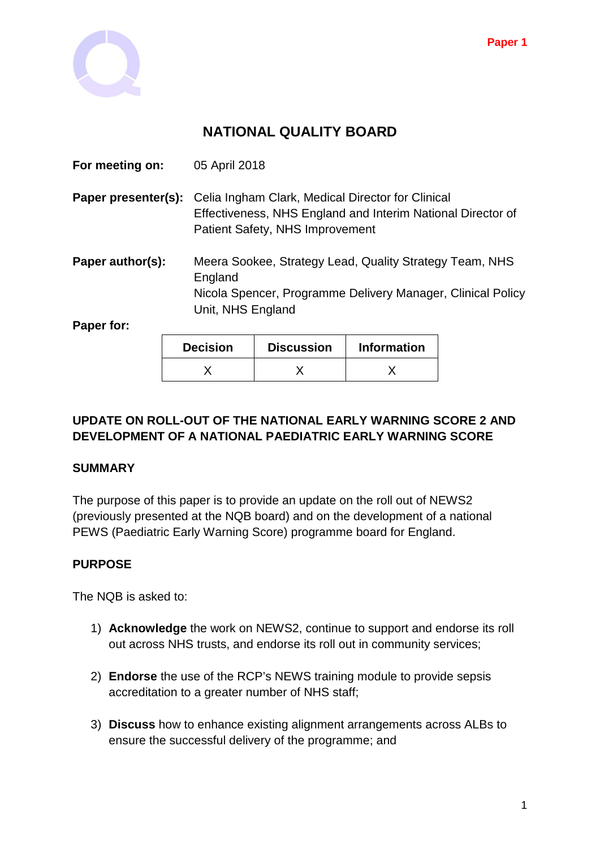

# **NATIONAL QUALITY BOARD**

|                     | Decision                                                | Discussion                                                                                                                                          | Information |  |
|---------------------|---------------------------------------------------------|-----------------------------------------------------------------------------------------------------------------------------------------------------|-------------|--|
| Paper for:          |                                                         |                                                                                                                                                     |             |  |
|                     |                                                         | England<br>Nicola Spencer, Programme Delivery Manager, Clinical Policy<br>Unit, NHS England                                                         |             |  |
| Paper author(s):    | Meera Sookee, Strategy Lead, Quality Strategy Team, NHS |                                                                                                                                                     |             |  |
| Paper presenter(s): |                                                         | Celia Ingham Clark, Medical Director for Clinical<br>Effectiveness, NHS England and Interim National Director of<br>Patient Safety, NHS Improvement |             |  |
| For meeting on:     | 05 April 2018                                           |                                                                                                                                                     |             |  |

| <b>Decision</b> | <b>Discussion</b> | <b>Information</b> |
|-----------------|-------------------|--------------------|
|                 |                   |                    |

## **UPDATE ON ROLL-OUT OF THE NATIONAL EARLY WARNING SCORE 2 AND DEVELOPMENT OF A NATIONAL PAEDIATRIC EARLY WARNING SCORE**

## **SUMMARY**

The purpose of this paper is to provide an update on the roll out of NEWS2 (previously presented at the NQB board) and on the development of a national PEWS (Paediatric Early Warning Score) programme board for England.

## **PURPOSE**

The NQB is asked to:

- 1) **Acknowledge** the work on NEWS2, continue to support and endorse its roll out across NHS trusts, and endorse its roll out in community services;
- 2) **Endorse** the use of the RCP's NEWS training module to provide sepsis accreditation to a greater number of NHS staff;
- 3) **Discuss** how to enhance existing alignment arrangements across ALBs to ensure the successful delivery of the programme; and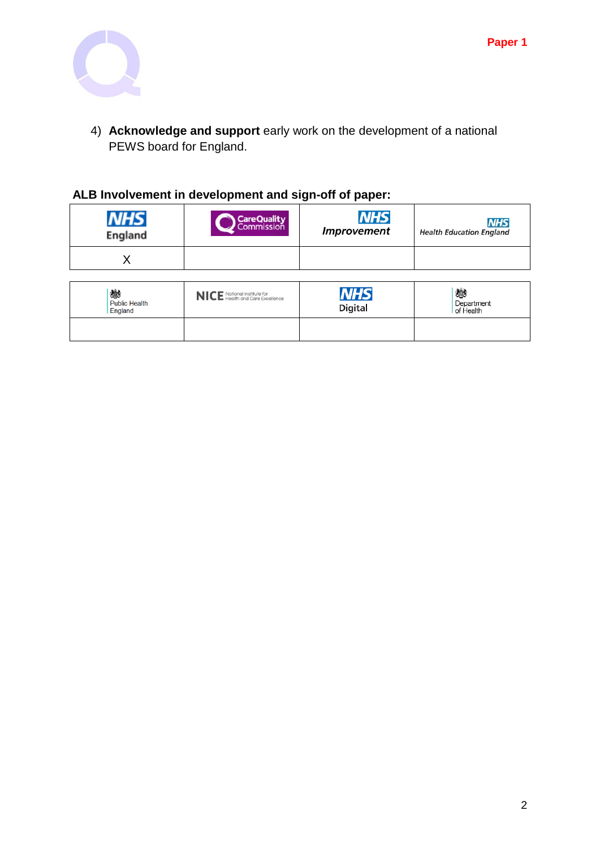

4) **Acknowledge and support** early work on the development of a national PEWS board for England.

## **ALB Involvement in development and sign-off of paper:**

| England | <b>Care Quality</b> | <b>NHS</b>         | <b>NHS</b>                      |
|---------|---------------------|--------------------|---------------------------------|
|         | Commission          | <b>Improvement</b> | <b>Health Education England</b> |
|         |                     |                    |                                 |

| 戀<br><b>Public Health</b><br>England | NICE National Institute for<br>NICE Health and Care Excellence | <b>NHS</b><br><b>Digital</b> | 戀<br>Department<br>of Health |
|--------------------------------------|----------------------------------------------------------------|------------------------------|------------------------------|
|                                      |                                                                |                              |                              |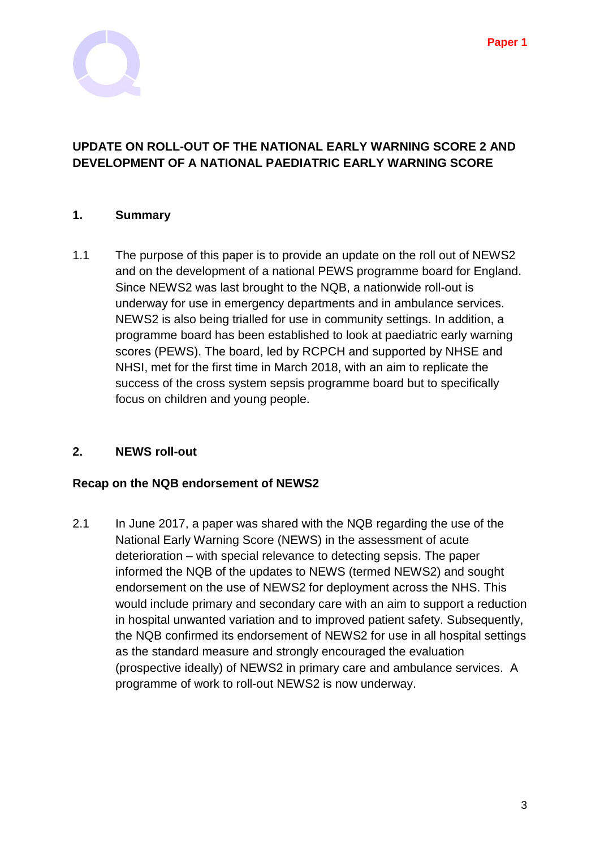

### **UPDATE ON ROLL-OUT OF THE NATIONAL EARLY WARNING SCORE 2 AND DEVELOPMENT OF A NATIONAL PAEDIATRIC EARLY WARNING SCORE**

#### **1. Summary**

1.1 The purpose of this paper is to provide an update on the roll out of NEWS2 and on the development of a national PEWS programme board for England. Since NEWS2 was last brought to the NQB, a nationwide roll-out is underway for use in emergency departments and in ambulance services. NEWS2 is also being trialled for use in community settings. In addition, a programme board has been established to look at paediatric early warning scores (PEWS). The board, led by RCPCH and supported by NHSE and NHSI, met for the first time in March 2018, with an aim to replicate the success of the cross system sepsis programme board but to specifically focus on children and young people.

#### **2. NEWS roll-out**

#### **Recap on the NQB endorsement of NEWS2**

2.1 In June 2017, a paper was shared with the NQB regarding the use of the National Early Warning Score (NEWS) in the assessment of acute deterioration – with special relevance to detecting sepsis. The paper informed the NQB of the updates to NEWS (termed NEWS2) and sought endorsement on the use of NEWS2 for deployment across the NHS. This would include primary and secondary care with an aim to support a reduction in hospital unwanted variation and to improved patient safety. Subsequently, the NQB confirmed its endorsement of NEWS2 for use in all hospital settings as the standard measure and strongly encouraged the evaluation (prospective ideally) of NEWS2 in primary care and ambulance services. A programme of work to roll-out NEWS2 is now underway.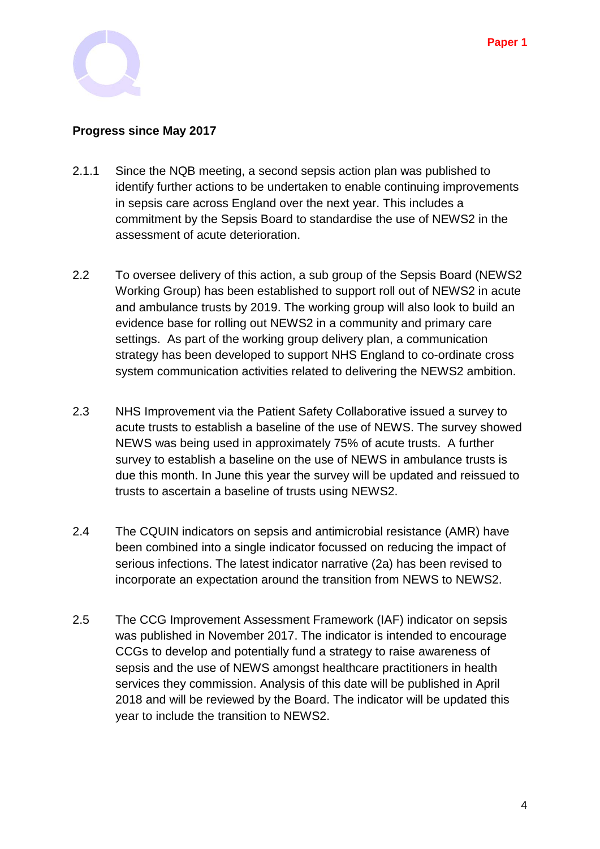

### **Progress since May 2017**

- 2.1.1 Since the NQB meeting, a second sepsis action plan was published to identify further actions to be undertaken to enable continuing improvements in sepsis care across England over the next year. This includes a commitment by the Sepsis Board to standardise the use of NEWS2 in the assessment of acute deterioration.
- 2.2 To oversee delivery of this action, a sub group of the Sepsis Board (NEWS2 Working Group) has been established to support roll out of NEWS2 in acute and ambulance trusts by 2019. The working group will also look to build an evidence base for rolling out NEWS2 in a community and primary care settings. As part of the working group delivery plan, a communication strategy has been developed to support NHS England to co-ordinate cross system communication activities related to delivering the NEWS2 ambition.
- 2.3 NHS Improvement via the Patient Safety Collaborative issued a survey to acute trusts to establish a baseline of the use of NEWS. The survey showed NEWS was being used in approximately 75% of acute trusts. A further survey to establish a baseline on the use of NEWS in ambulance trusts is due this month. In June this year the survey will be updated and reissued to trusts to ascertain a baseline of trusts using NEWS2.
- 2.4 The CQUIN indicators on sepsis and antimicrobial resistance (AMR) have been combined into a single indicator focussed on reducing the impact of serious infections. The latest indicator narrative (2a) has been revised to incorporate an expectation around the transition from NEWS to NEWS2.
- 2.5 The CCG Improvement Assessment Framework (IAF) indicator on sepsis was published in November 2017. The indicator is intended to encourage CCGs to develop and potentially fund a strategy to raise awareness of sepsis and the use of NEWS amongst healthcare practitioners in health services they commission. Analysis of this date will be published in April 2018 and will be reviewed by the Board. The indicator will be updated this year to include the transition to NEWS2.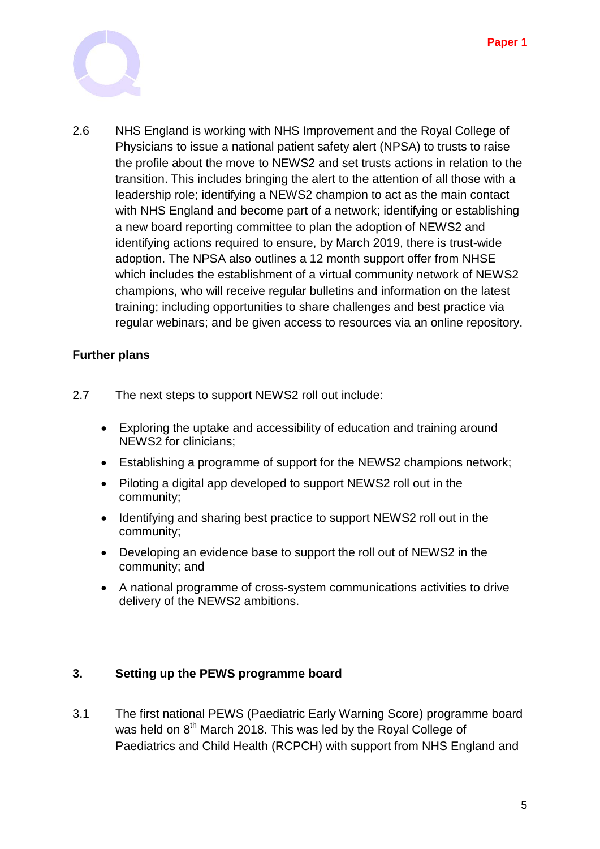

2.6 NHS England is working with NHS Improvement and the Royal College of Physicians to issue a national patient safety alert (NPSA) to trusts to raise the profile about the move to NEWS2 and set trusts actions in relation to the transition. This includes bringing the alert to the attention of all those with a leadership role; identifying a NEWS2 champion to act as the main contact with NHS England and become part of a network; identifying or establishing a new board reporting committee to plan the adoption of NEWS2 and identifying actions required to ensure, by March 2019, there is trust-wide adoption. The NPSA also outlines a 12 month support offer from NHSE which includes the establishment of a virtual community network of NEWS2 champions, who will receive regular bulletins and information on the latest training; including opportunities to share challenges and best practice via regular webinars; and be given access to resources via an online repository.

#### **Further plans**

- 2.7 The next steps to support NEWS2 roll out include:
	- Exploring the uptake and accessibility of education and training around NEWS2 for clinicians;
	- Establishing a programme of support for the NEWS2 champions network;
	- Piloting a digital app developed to support NEWS2 roll out in the community;
	- Identifying and sharing best practice to support NEWS2 roll out in the community;
	- Developing an evidence base to support the roll out of NEWS2 in the community; and
	- A national programme of cross-system communications activities to drive delivery of the NEWS2 ambitions.

#### **3. Setting up the PEWS programme board**

3.1 The first national PEWS (Paediatric Early Warning Score) programme board was held on 8<sup>th</sup> March 2018. This was led by the Royal College of Paediatrics and Child Health (RCPCH) with support from NHS England and